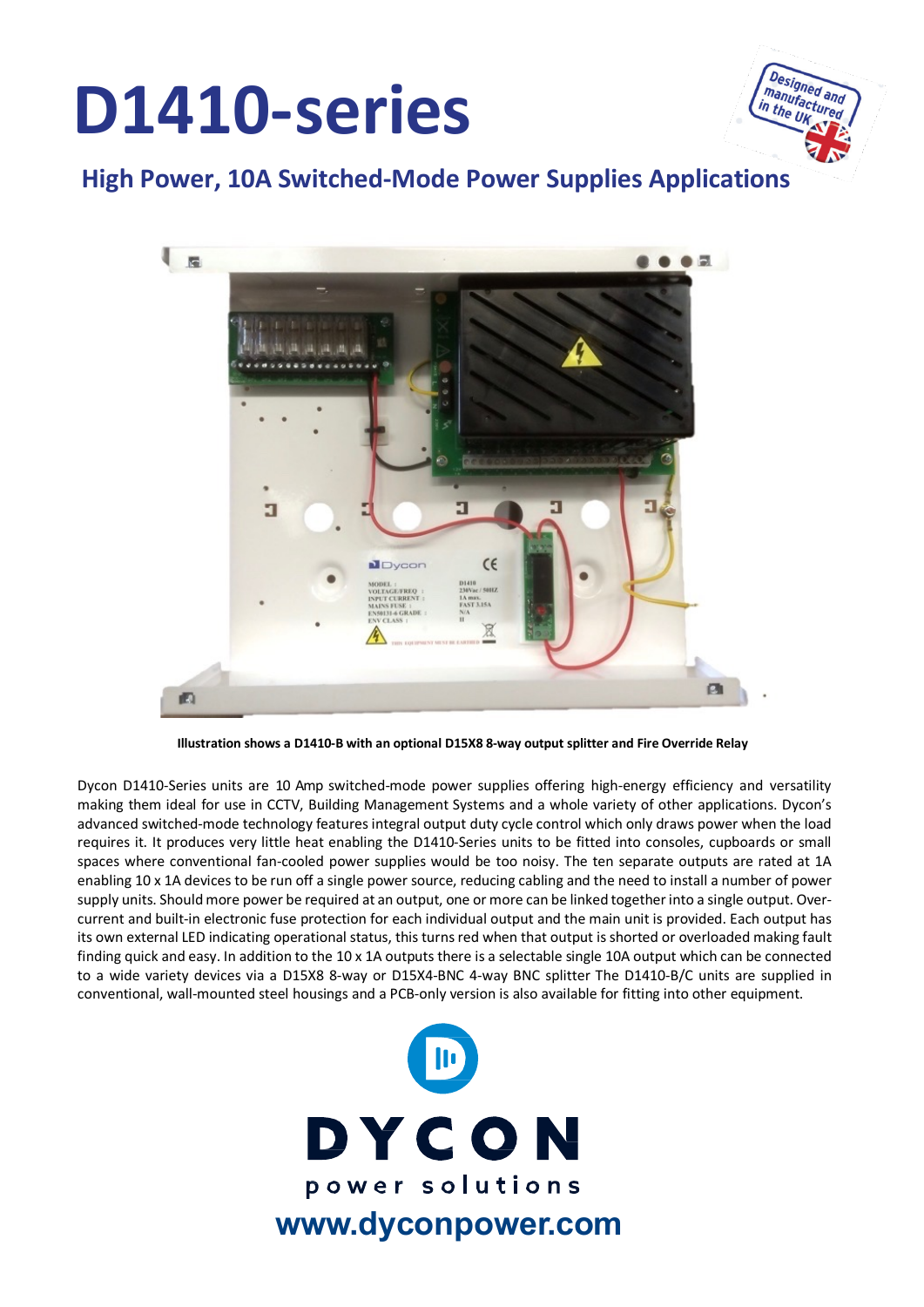# **D1410-series**



### **High Power, 10A Switched-Mode Power Supplies Applications**



**Illustration shows a D1410-B with an optional D15X8 8-way output splitter and Fire Override Relay**

Dycon D1410-Series units are 10 Amp switched-mode power supplies offering high-energy efficiency and versatility making them ideal for use in CCTV, Building Management Systems and a whole variety of other applications. Dycon's advanced switched-mode technology features integral output duty cycle control which only draws power when the load requires it. It produces very little heat enabling the D1410-Series units to be fitted into consoles, cupboards or small spaces where conventional fan-cooled power supplies would be too noisy. The ten separate outputs are rated at 1A enabling 10 x 1A devices to be run off a single power source, reducing cabling and the need to install a number of power supply units. Should more power be required at an output, one or more can be linked together into a single output. Overcurrent and built-in electronic fuse protection for each individual output and the main unit is provided. Each output has its own external LED indicating operational status, this turns red when that output is shorted or overloaded making fault finding quick and easy. In addition to the 10 x 1A outputs there is a selectable single 10A output which can be connected to a wide variety devices via a D15X8 8-way or D15X4-BNC 4-way BNC splitter The D1410-B/C units are supplied in conventional, wall-mounted steel housings and a PCB-only version is also available for fitting into other equipment.